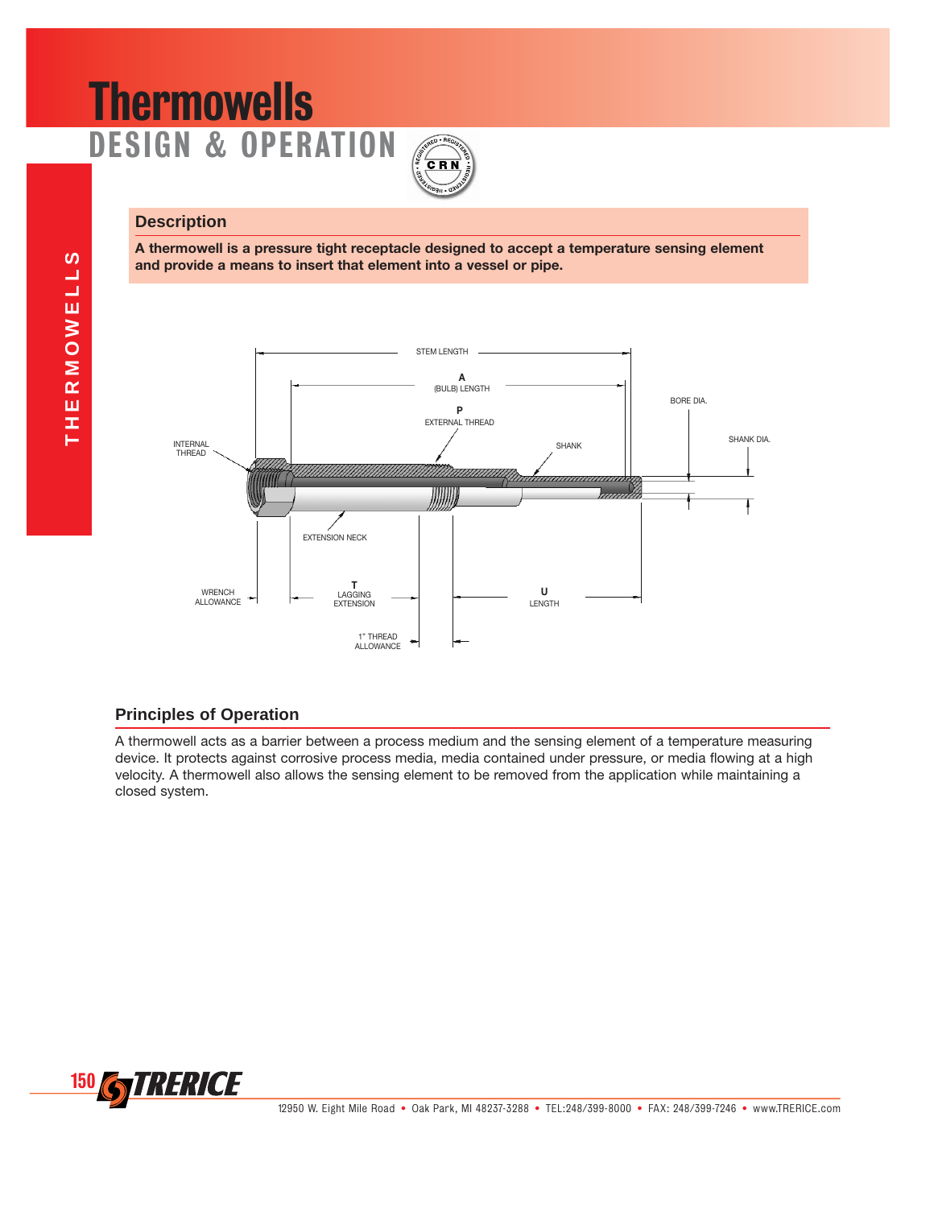# **Thermowells** DESIGN & OPERATION



## **Description**

**A thermowell is a pressure tight receptacle designed to accept a temperature sensing element and provide a means to insert that element into a vessel or pipe.**



## **Principles of Operation**

A thermowell acts as a barrier between a process medium and the sensing element of a temperature measuring device. It protects against corrosive process media, media contained under pressure, or media flowing at a high velocity. A thermowell also allows the sensing element to be removed from the application while maintaining a closed system.